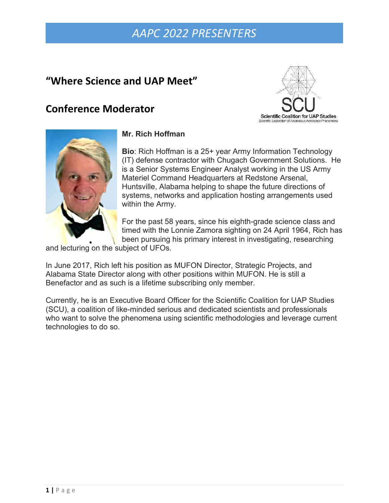## **"Where Science and UAP Meet"**

## **Conference Moderator**





### **Mr. Rich Hoffman**

**Bio**: Rich Hoffman is a 25+ year Army Information Technology (IT) defense contractor with Chugach Government Solutions. He is a Senior Systems Engineer Analyst working in the US Army Materiel Command Headquarters at Redstone Arsenal, Huntsville, Alabama helping to shape the future directions of systems, networks and application hosting arrangements used within the Army.

For the past 58 years, since his eighth-grade science class and timed with the Lonnie Zamora sighting on 24 April 1964, Rich has been pursuing his primary interest in investigating, researching

and lecturing on the subject of UFOs.

In June 2017, Rich left his position as MUFON Director, Strategic Projects, and Alabama State Director along with other positions within MUFON. He is still a Benefactor and as such is a lifetime subscribing only member.

Currently, he is an Executive Board Officer for the Scientific Coalition for UAP Studies (SCU), a coalition of like-minded serious and dedicated scientists and professionals who want to solve the phenomena using scientific methodologies and leverage current technologies to do so.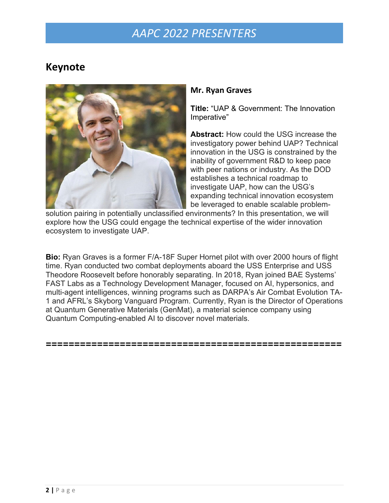## **Keynote**



#### **Mr. Ryan Graves**

**Title:** "UAP & Government: The Innovation Imperative"

**Abstract:** How could the USG increase the investigatory power behind UAP? Technical innovation in the USG is constrained by the inability of government R&D to keep pace with peer nations or industry. As the DOD establishes a technical roadmap to investigate UAP, how can the USG's expanding technical innovation ecosystem be leveraged to enable scalable problem-

solution pairing in potentially unclassified environments? In this presentation, we will explore how the USG could engage the technical expertise of the wider innovation ecosystem to investigate UAP.

**Bio:** Ryan Graves is a former F/A-18F Super Hornet pilot with over 2000 hours of flight time. Ryan conducted two combat deployments aboard the USS Enterprise and USS Theodore Roosevelt before honorably separating. In 2018, Ryan joined BAE Systems' FAST Labs as a Technology Development Manager, focused on AI, hypersonics, and multi-agent intelligences, winning programs such as DARPA's Air Combat Evolution TA-1 and AFRL's Skyborg Vanguard Program. Currently, Ryan is the Director of Operations at Quantum Generative Materials (GenMat), a material science company using Quantum Computing-enabled AI to discover novel materials.

#### **====================================================**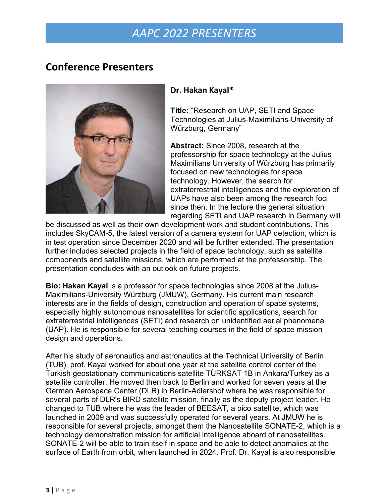## **Conference Presenters**



### **Dr. Hakan Kayal\***

**Title:** "Research on UAP, SETI and Space Technologies at Julius-Maximilians-University of Würzburg, Germany"

**Abstract:** Since 2008, research at the professorship for space technology at the Julius Maximilians University of Würzburg has primarily focused on new technologies for space technology. However, the search for extraterrestrial intelligences and the exploration of UAPs have also been among the research foci since then. In the lecture the general situation regarding SETI and UAP research in Germany will

be discussed as well as their own development work and student contributions. This includes SkyCAM-5, the latest version of a camera system for UAP detection, which is in test operation since December 2020 and will be further extended. The presentation further includes selected projects in the field of space technology, such as satellite components and satellite missions, which are performed at the professorship. The presentation concludes with an outlook on future projects.

**Bio: Hakan Kayal** is a professor for space technologies since 2008 at the Julius-Maximilians-University Würzburg (JMUW), Germany. His current main research interests are in the fields of design, construction and operation of space systems, especially highly autonomous nanosatellites for scientific applications, search for extraterrestrial intelligences (SETI) and research on unidentified aerial phenomena (UAP). He is responsible for several teaching courses in the field of space mission design and operations.

After his study of aeronautics and astronautics at the Technical University of Berlin (TUB), prof. Kayal worked for about one year at the satellite control center of the Turkish geostationary communications satellite TÜRKSAT 1B in Ankara/Turkey as a satellite controller. He moved then back to Berlin and worked for seven years at the German Aerospace Center (DLR) in Berlin-Adlershof where he was responsible for several parts of DLR's BIRD satellite mission, finally as the deputy project leader. He changed to TUB where he was the leader of BEESAT, a pico satellite, which was launched in 2009 and was successfully operated for several years. At JMUW he is responsible for several projects, amongst them the Nanosatellite SONATE-2, which is a technology demonstration mission for artificial intelligence aboard of nanosatellites. SONATE-2 will be able to train itself in space and be able to detect anomalies at the surface of Earth from orbit, when launched in 2024. Prof. Dr. Kayal is also responsible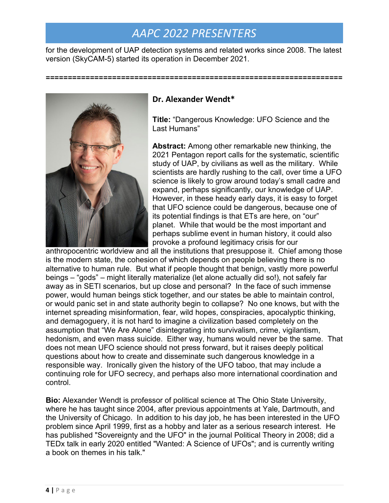for the development of UAP detection systems and related works since 2008. The latest version (SkyCAM-5) started its operation in December 2021.

### **Dr. Alexander Wendt\***

**Title:** "Dangerous Knowledge: UFO Science and the Last Humans"

**===================================================================**

**Abstract:** Among other remarkable new thinking, the 2021 Pentagon report calls for the systematic, scientific study of UAP, by civilians as well as the military. While scientists are hardly rushing to the call, over time a UFO science is likely to grow around today's small cadre and expand, perhaps significantly, our knowledge of UAP. However, in these heady early days, it is easy to forget that UFO science could be dangerous, because one of its potential findings is that ETs are here, on "our" planet. While that would be the most important and perhaps sublime event in human history, it could also provoke a profound legitimacy crisis for our

anthropocentric worldview and all the institutions that presuppose it. Chief among those is the modern state, the cohesion of which depends on people believing there is no alternative to human rule. But what if people thought that benign, vastly more powerful beings – "gods" – might literally materialize (let alone actually did so!), not safely far away as in SETI scenarios, but up close and personal? In the face of such immense power, would human beings stick together, and our states be able to maintain control, or would panic set in and state authority begin to collapse? No one knows, but with the internet spreading misinformation, fear, wild hopes, conspiracies, apocalyptic thinking, and demagoguery, it is not hard to imagine a civilization based completely on the assumption that "We Are Alone" disintegrating into survivalism, crime, vigilantism, hedonism, and even mass suicide. Either way, humans would never be the same. That does not mean UFO science should not press forward, but it raises deeply political questions about how to create and disseminate such dangerous knowledge in a responsible way. Ironically given the history of the UFO taboo, that may include a continuing role for UFO secrecy, and perhaps also more international coordination and control.

**Bio:** Alexander Wendt is professor of political science at The Ohio State University, where he has taught since 2004, after previous appointments at Yale, Dartmouth, and the University of Chicago. In addition to his day job, he has been interested in the UFO problem since April 1999, first as a hobby and later as a serious research interest. He has published "Sovereignty and the UFO" in the journal Political Theory in 2008; did a TEDx talk in early 2020 entitled "Wanted: A Science of UFOs"; and is currently writing a book on themes in his talk."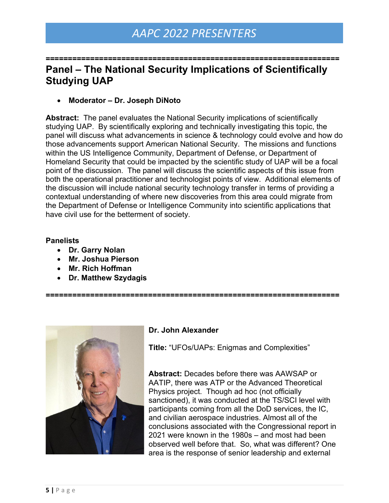**==================================================================**

### **Panel – The National Security Implications of Scientifically Studying UAP**

• **Moderator – Dr. Joseph DiNoto**

**Abstract:** The panel evaluates the National Security implications of scientifically studying UAP. By scientifically exploring and technically investigating this topic, the panel will discuss what advancements in science & technology could evolve and how do those advancements support American National Security. The missions and functions within the US Intelligence Community, Department of Defense, or Department of Homeland Security that could be impacted by the scientific study of UAP will be a focal point of the discussion. The panel will discuss the scientific aspects of this issue from both the operational practitioner and technologist points of view. Additional elements of the discussion will include national security technology transfer in terms of providing a contextual understanding of where new discoveries from this area could migrate from the Department of Defense or Intelligence Community into scientific applications that have civil use for the betterment of society.

#### **Panelists**

- **Dr. Garry Nolan**
- **Mr. Joshua Pierson**
- **Mr. Rich Hoffman**
- **Dr. Matthew Szydagis**

**==================================================================**



#### **Dr. John Alexander**

**Title:** "UFOs/UAPs: Enigmas and Complexities"

**Abstract:** Decades before there was AAWSAP or AATIP, there was ATP or the Advanced Theoretical Physics project. Though ad hoc (not officially sanctioned), it was conducted at the TS/SCI level with participants coming from all the DoD services, the IC, and civilian aerospace industries. Almost all of the conclusions associated with the Congressional report in 2021 were known in the 1980s – and most had been observed well before that. So, what was different? One area is the response of senior leadership and external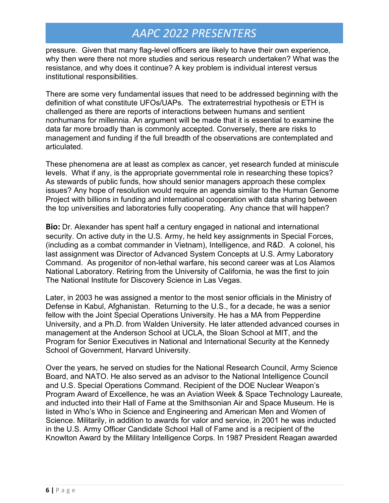pressure. Given that many flag-level officers are likely to have their own experience, why then were there not more studies and serious research undertaken? What was the resistance, and why does it continue? A key problem is individual interest versus institutional responsibilities.

There are some very fundamental issues that need to be addressed beginning with the definition of what constitute UFOs/UAPs. The extraterrestrial hypothesis or ETH is challenged as there are reports of interactions between humans and sentient nonhumans for millennia. An argument will be made that it is essential to examine the data far more broadly than is commonly accepted. Conversely, there are risks to management and funding if the full breadth of the observations are contemplated and articulated.

These phenomena are at least as complex as cancer, yet research funded at miniscule levels. What if any, is the appropriate governmental role in researching these topics? As stewards of public funds, how should senior managers approach these complex issues? Any hope of resolution would require an agenda similar to the Human Genome Project with billions in funding and international cooperation with data sharing between the top universities and laboratories fully cooperating. Any chance that will happen?

**Bio:** Dr. Alexander has spent half a century engaged in national and international security. On active duty in the U.S. Army, he held key assignments in Special Forces, (including as a combat commander in Vietnam), Intelligence, and R&D. A colonel, his last assignment was Director of Advanced System Concepts at U.S. Army Laboratory Command. As progenitor of non-lethal warfare, his second career was at Los Alamos National Laboratory. Retiring from the University of California, he was the first to join The National Institute for Discovery Science in Las Vegas.

Later, in 2003 he was assigned a mentor to the most senior officials in the Ministry of Defense in Kabul, Afghanistan. Returning to the U.S., for a decade, he was a senior fellow with the Joint Special Operations University. He has a MA from Pepperdine University, and a Ph.D. from Walden University. He later attended advanced courses in management at the Anderson School at UCLA, the Sloan School at MIT, and the Program for Senior Executives in National and International Security at the Kennedy School of Government, Harvard University.

Over the years, he served on studies for the National Research Council, Army Science Board, and NATO. He also served as an advisor to the National Intelligence Council and U.S. Special Operations Command. Recipient of the DOE Nuclear Weapon's Program Award of Excellence, he was an Aviation Week & Space Technology Laureate, and inducted into their Hall of Fame at the Smithsonian Air and Space Museum. He is listed in Who's Who in Science and Engineering and American Men and Women of Science. Militarily, in addition to awards for valor and service, in 2001 he was inducted in the U.S. Army Officer Candidate School Hall of Fame and is a recipient of the Knowlton Award by the Military Intelligence Corps. In 1987 President Reagan awarded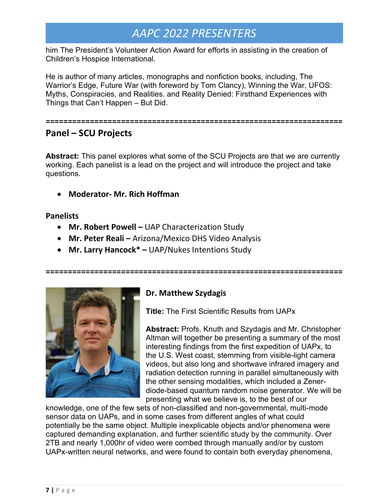him The President's Volunteer Action Award for efforts in assisting in the creation of Children's Hospice International.

He is author of many articles, monographs and nonfiction books, including, The Warrior's Edge, Future War (with foreword by Tom Clancy), Winning the War, UFOS: Myths, Conspiracies, and Realities. and Reality Denied: Firsthand Experiences with Things that Can't Happen – But Did.

#### **===================================================================**

### **Panel – SCU Projects**

**Abstract:** This panel explores what some of the SCU Projects are that we are currently working. Each panelist is a lead on the project and will introduce the project and take questions.

• **Moderator- Mr. Rich Hoffman**

#### **Panelists**

- **Mr. Robert Powell –** UAP Characterization Study
- **Mr. Peter Reali –** Arizona/Mexico DHS Video Analysis
- **Mr. Larry Hancock\* –** UAP/Nukes Intentions Study



### **Dr. Matthew Szydagis**

**===================================================================**

**Title:** The First Scientific Results from UAPx

**Abstract:** Profs. Knuth and Szydagis and Mr. Christopher Altman will together be presenting a summary of the most interesting findings from the first expedition of UAPx, to the U.S. West coast, stemming from visible-light camera videos, but also long and shortwave infrared imagery and radiation detection running in parallel simultaneously with the other sensing modalities, which included a Zenerdiode-based quantum random noise generator. We will be presenting what we believe is, to the best of our

knowledge, one of the few sets of non-classified and non-governmental, multi-mode sensor data on UAPs, and in some cases from different angles of what could potentially be the same object. Multiple inexplicable objects and/or phenomena were captured demanding explanation, and further scientific study by the community. Over 2TB and nearly 1,000hr of video were combed through manually and/or by custom UAPx-written neural networks, and were found to contain both everyday phenomena,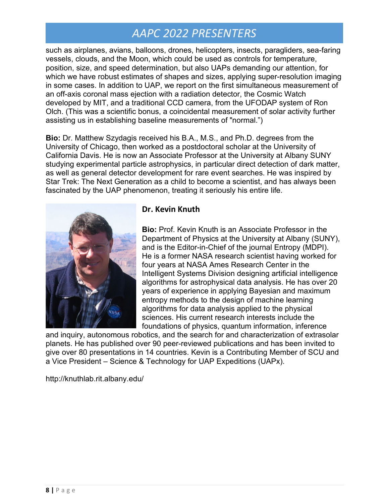such as airplanes, avians, balloons, drones, helicopters, insects, paragliders, sea-faring vessels, clouds, and the Moon, which could be used as controls for temperature, position, size, and speed determination, but also UAPs demanding our attention, for which we have robust estimates of shapes and sizes, applying super-resolution imaging in some cases. In addition to UAP, we report on the first simultaneous measurement of an off-axis coronal mass ejection with a radiation detector, the Cosmic Watch developed by MIT, and a traditional CCD camera, from the UFODAP system of Ron Olch. (This was a scientific bonus, a coincidental measurement of solar activity further assisting us in establishing baseline measurements of "normal.")

**Bio:** Dr. Matthew Szydagis received his B.A., M.S., and Ph.D. degrees from the University of Chicago, then worked as a postdoctoral scholar at the University of California Davis. He is now an Associate Professor at the University at Albany SUNY studying experimental particle astrophysics, in particular direct detection of dark matter, as well as general detector development for rare event searches. He was inspired by Star Trek: The Next Generation as a child to become a scientist, and has always been fascinated by the UAP phenomenon, treating it seriously his entire life.



### **Dr. Kevin Knuth**

**Bio:** Prof. Kevin Knuth is an Associate Professor in the Department of Physics at the University at Albany (SUNY), and is the Editor-in-Chief of the journal Entropy (MDPI). He is a former NASA research scientist having worked for four years at NASA Ames Research Center in the Intelligent Systems Division designing artificial intelligence algorithms for astrophysical data analysis. He has over 20 years of experience in applying Bayesian and maximum entropy methods to the design of machine learning algorithms for data analysis applied to the physical sciences. His current research interests include the foundations of physics, quantum information, inference

and inquiry, autonomous robotics, and the search for and characterization of extrasolar planets. He has published over 90 peer-reviewed publications and has been invited to give over 80 presentations in 14 countries. Kevin is a Contributing Member of SCU and a Vice President – Science & Technology for UAP Expeditions (UAPx).

[http://knuthlab.rit.albany.edu/](about:blank)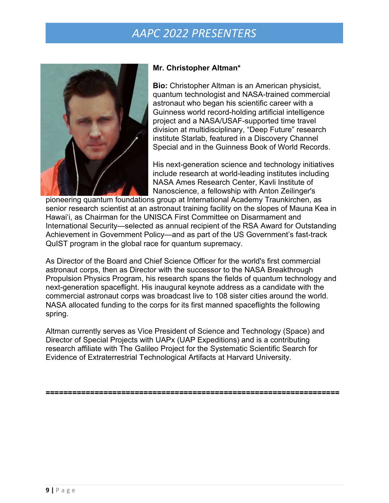

#### **Mr. Christopher Altman\***

**Bio:** Christopher Altman is an American physicist, quantum technologist and NASA-trained commercial astronaut who began his scientific career with a Guinness world record-holding artificial intelligence project and a NASA/USAF-supported time travel division at multidisciplinary, "Deep Future" research institute Starlab, featured in a Discovery Channel Special and in the Guinness Book of World Records.

His next-generation science and technology initiatives include research at world-leading institutes including NASA Ames Research Center, Kavli Institute of Nanoscience, a fellowship with Anton Zeilinger's

pioneering quantum foundations group at International Academy Traunkirchen, as senior research scientist at an astronaut training facility on the slopes of Mauna Kea in Hawai'i, as Chairman for the UNISCA First Committee on Disarmament and International Security—selected as annual recipient of the RSA Award for Outstanding Achievement in Government Policy—and as part of the US Government's fast-track QuIST program in the global race for quantum supremacy.

As Director of the Board and Chief Science Officer for the world's first commercial astronaut corps, then as Director with the successor to the NASA Breakthrough Propulsion Physics Program, his research spans the fields of quantum technology and next-generation spaceflight. His inaugural keynote address as a candidate with the commercial astronaut corps was broadcast live to 108 sister cities around the world. NASA allocated funding to the corps for its first manned spaceflights the following spring.

Altman currently serves as Vice President of Science and Technology (Space) and Director of Special Projects with UAPx (UAP Expeditions) and is a contributing research affiliate with The Galileo Project for the Systematic Scientific Search for Evidence of Extraterrestrial Technological Artifacts at Harvard University.

**==================================================================**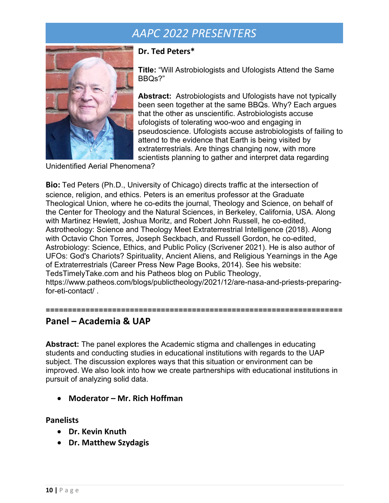

#### **Dr. Ted Peters\***

**Title:** "Will Astrobiologists and Ufologists Attend the Same BBQs?"

**Abstract:** Astrobiologists and Ufologists have not typically been seen together at the same BBQs. Why? Each argues that the other as unscientific. Astrobiologists accuse ufologists of tolerating woo-woo and engaging in pseudoscience. Ufologists accuse astrobiologists of failing to attend to the evidence that Earth is being visited by extraterrestrials. Are things changing now, with more scientists planning to gather and interpret data regarding

Unidentified Aerial Phenomena?

**Bio:** Ted Peters (Ph.D., University of Chicago) directs traffic at the intersection of science, religion, and ethics. Peters is an emeritus professor at the Graduate Theological Union, where he co-edits the journal, Theology and Science, on behalf of the Center for Theology and the Natural Sciences, in Berkeley, California, USA. Along with Martinez Hewlett, Joshua Moritz, and Robert John Russell, he co-edited, Astrotheology: Science and Theology Meet Extraterrestrial Intelligence (2018). Along with Octavio Chon Torres, Joseph Seckbach, and Russell Gordon, he co-edited, Astrobiology: Science, Ethics, and Public Policy (Scrivener 2021). He is also author of UFOs: God's Chariots? Spirituality, Ancient Aliens, and Religious Yearnings in the Age of Extraterrestrials (Career Press New Page Books, 2014). See his website: TedsTimelyTake.com and his Patheos blog on Public Theology, https://www.patheos.com/blogs/publictheology/2021/12/are-nasa-and-priests-preparingfor-eti-contact/ .

### **Panel – Academia & UAP**

**Abstract:** The panel explores the Academic stigma and challenges in educating students and conducting studies in educational institutions with regards to the UAP subject. The discussion explores ways that this situation or environment can be improved. We also look into how we create partnerships with educational institutions in pursuit of analyzing solid data.

**===================================================================**

• **Moderator – Mr. Rich Hoffman**

#### **Panelists**

- **Dr. Kevin Knuth**
- **Dr. Matthew Szydagis**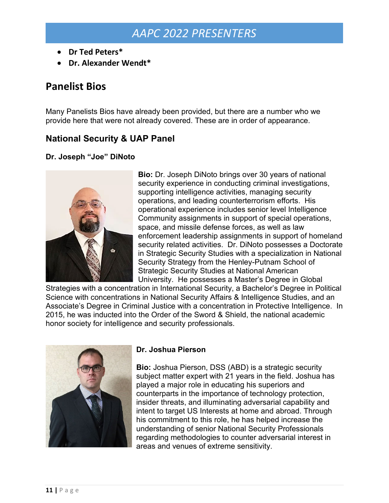- **Dr Ted Peters\***
- **Dr. Alexander Wendt\***

## **Panelist Bios**

Many Panelists Bios have already been provided, but there are a number who we provide here that were not already covered. These are in order of appearance.

### **National Security & UAP Panel**

#### **Dr. Joseph "Joe" DiNoto**



**Bio:** Dr. Joseph DiNoto brings over 30 years of national security experience in conducting criminal investigations, supporting intelligence activities, managing security operations, and leading counterterrorism efforts. His operational experience includes senior level Intelligence Community assignments in support of special operations, space, and missile defense forces, as well as law enforcement leadership assignments in support of homeland security related activities. Dr. DiNoto possesses a Doctorate in Strategic Security Studies with a specialization in National Security Strategy from the Henley-Putnam School of Strategic Security Studies at National American University. He possesses a Master's Degree in Global

Strategies with a concentration in International Security, a Bachelor's Degree in Political Science with concentrations in National Security Affairs & Intelligence Studies, and an Associate's Degree in Criminal Justice with a concentration in Protective Intelligence. In 2015, he was inducted into the Order of the Sword & Shield, the national academic honor society for intelligence and security professionals.



#### **Dr. Joshua Pierson**

**Bio:** Joshua Pierson, DSS (ABD) is a strategic security subject matter expert with 21 years in the field. Joshua has played a major role in educating his superiors and counterparts in the importance of technology protection, insider threats, and illuminating adversarial capability and intent to target US Interests at home and abroad. Through his commitment to this role, he has helped increase the understanding of senior National Security Professionals regarding methodologies to counter adversarial interest in areas and venues of extreme sensitivity.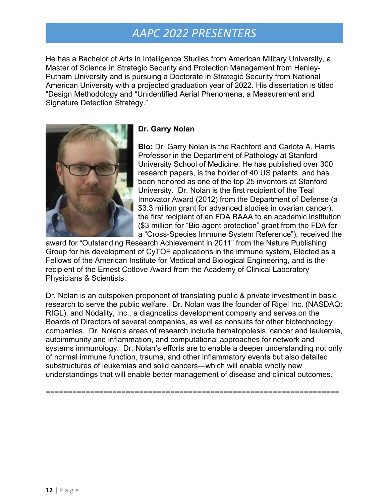He has a Bachelor of Arts in Intelligence Studies from American Military University, a Master of Science in Strategic Security and Protection Management from Henley-Putnam University and is pursuing a Doctorate in Strategic Security from National American University with a projected graduation year of 2022. His dissertation is titled "Design Methodology and "Unidentified Aerial Phenomena, a Measurement and Signature Detection Strategy."



### **Dr. Garry Nolan**

**Bio:** Dr. Garry Nolan is the Rachford and Carlota A. Harris Professor in the Department of Pathology at Stanford University School of Medicine. He has published over 300 research papers, is the holder of 40 US patents, and has been honored as one of the top 25 inventors at Stanford University. Dr. Nolan is the first recipient of the Teal Innovator Award (2012) from the Department of Defense (a \$3.3 million grant for advanced studies in ovarian cancer), the first recipient of an FDA BAAA to an academic institution (\$3 million for "Bio-agent protection" grant from the FDA for a "Cross-Species Immune System Reference"), received the

award for "Outstanding Research Achievement in 2011" from the Nature Publishing Group for his development of CyTOF applications in the immune system, Elected as a Fellows of the American Institute for Medical and Biological Engineering, and is the recipient of the Ernest Cotlove Award from the Academy of Clinical Laboratory Physicians & Scientists.

Dr. Nolan is an outspoken proponent of translating public & private investment in basic research to serve the public welfare. Dr. Nolan was the founder of Rigel Inc. (NASDAQ: RIGL), and Nodality, Inc., a diagnostics development company and serves on the Boards of Directors of several companies, as well as consults for other biotechnology companies. Dr. Nolan's areas of research include hematopoiesis, cancer and leukemia, autoimmunity and inflammation, and computational approaches for network and systems immunology. Dr. Nolan's efforts are to enable a deeper understanding not only of normal immune function, trauma, and other inflammatory events but also detailed substructures of leukemias and solid cancers—which will enable wholly new understandings that will enable better management of disease and clinical outcomes.

==================================================================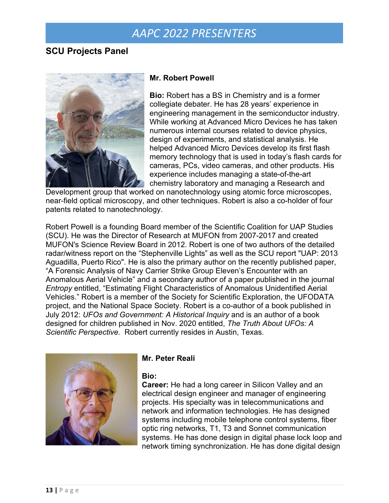### **SCU Projects Panel**



#### **Mr. Robert Powell**

**Bio:** Robert has a BS in Chemistry and is a former collegiate debater. He has 28 years' experience in engineering management in the semiconductor industry. While working at Advanced Micro Devices he has taken numerous internal courses related to device physics, design of experiments, and statistical analysis. He helped Advanced Micro Devices develop its first flash memory technology that is used in today's flash cards for cameras, PCs, video cameras, and other products. His experience includes managing a state-of-the-art chemistry laboratory and managing a Research and

Development group that worked on nanotechnology using atomic force microscopes, near-field optical microscopy, and other techniques. Robert is also a co-holder of four patents related to nanotechnology.

Robert Powell is a founding Board member of the Scientific Coalition for UAP Studies (SCU). He was the Director of Research at MUFON from 2007-2017 and created MUFON's Science Review Board in 2012. Robert is one of two authors of the detailed radar/witness report on the "Stephenville Lights" as well as the SCU report "UAP: 2013 Aguadilla, Puerto Rico". He is also the primary author on the recently published paper, "A Forensic Analysis of Navy Carrier Strike Group Eleven's Encounter with an Anomalous Aerial Vehicle" and a secondary author of a paper published in the journal *Entropy* entitled, "Estimating Flight Characteristics of Anomalous Unidentified Aerial Vehicles." Robert is a member of the Society for Scientific Exploration, the UFODATA project, and the National Space Society. Robert is a co-author of a book published in July 2012: *UFOs and Government: A Historical Inquiry* and is an author of a book designed for children published in Nov. 2020 entitled, *The Truth About UFOs: A Scientific Perspective.* Robert currently resides in Austin, Texas.



#### **Mr. Peter Reali**

#### **Bio:**

**Career:** He had a long career in Silicon Valley and an electrical design engineer and manager of engineering projects. His specialty was in telecommunications and network and information technologies. He has designed systems including mobile telephone control systems, fiber optic ring networks, T1, T3 and Sonnet communication systems. He has done design in digital phase lock loop and network timing synchronization. He has done digital design